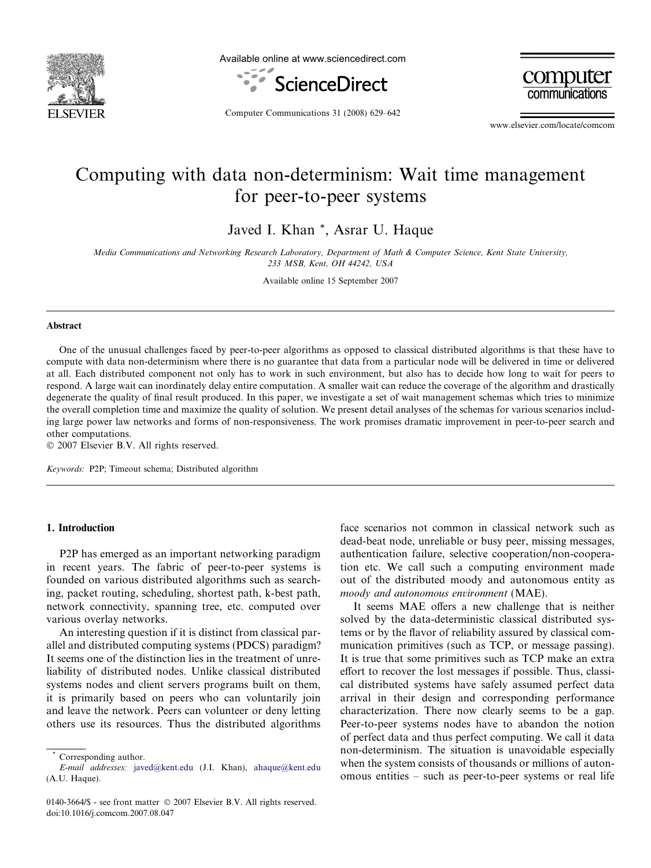

Available online at www.sciencedirect.com



compu communications

Computer Communications 31 (2008) 629–642

www.elsevier.com/locate/comcom

## Computing with data non-determinism: Wait time management for peer-to-peer systems

Javed I. Khan \*, Asrar U. Haque

Media Communications and Networking Research Laboratory, Department of Math & Computer Science, Kent State University, 233 MSB, Kent, OH 44242, USA

Available online 15 September 2007

#### Abstract

One of the unusual challenges faced by peer-to-peer algorithms as opposed to classical distributed algorithms is that these have to compute with data non-determinism where there is no guarantee that data from a particular node will be delivered in time or delivered at all. Each distributed component not only has to work in such environment, but also has to decide how long to wait for peers to respond. A large wait can inordinately delay entire computation. A smaller wait can reduce the coverage of the algorithm and drastically degenerate the quality of final result produced. In this paper, we investigate a set of wait management schemas which tries to minimize the overall completion time and maximize the quality of solution. We present detail analyses of the schemas for various scenarios including large power law networks and forms of non-responsiveness. The work promises dramatic improvement in peer-to-peer search and other computations.

 $© 2007 Elsevier B.V. All rights reserved.$ 

Keywords: P2P; Timeout schema; Distributed algorithm

### 1. Introduction

P2P has emerged as an important networking paradigm in recent years. The fabric of peer-to-peer systems is founded on various distributed algorithms such as searching, packet routing, scheduling, shortest path, k-best path, network connectivity, spanning tree, etc. computed over various overlay networks.

An interesting question if it is distinct from classical parallel and distributed computing systems (PDCS) paradigm? It seems one of the distinction lies in the treatment of unreliability of distributed nodes. Unlike classical distributed systems nodes and client servers programs built on them, it is primarily based on peers who can voluntarily join and leave the network. Peers can volunteer or deny letting others use its resources. Thus the distributed algorithms face scenarios not common in classical network such as dead-beat node, unreliable or busy peer, missing messages, authentication failure, selective cooperation/non-cooperation etc. We call such a computing environment made out of the distributed moody and autonomous entity as moody and autonomous environment (MAE).

It seems MAE offers a new challenge that is neither solved by the data-deterministic classical distributed systems or by the flavor of reliability assured by classical communication primitives (such as TCP, or message passing). It is true that some primitives such as TCP make an extra effort to recover the lost messages if possible. Thus, classical distributed systems have safely assumed perfect data arrival in their design and corresponding performance characterization. There now clearly seems to be a gap. Peer-to-peer systems nodes have to abandon the notion of perfect data and thus perfect computing. We call it data non-determinism. The situation is unavoidable especially when the system consists of thousands or millions of autonomous entities – such as peer-to-peer systems or real life

Corresponding author.

E-mail addresses: [javed@kent.edu](mailto:javed@kent.edu) (J.I. Khan), [ahaque@kent.edu](mailto:ahaque@kent.edu) (A.U. Haque).

<sup>0140-3664/\$ -</sup> see front matter © 2007 Elsevier B.V. All rights reserved. doi:10.1016/j.comcom.2007.08.047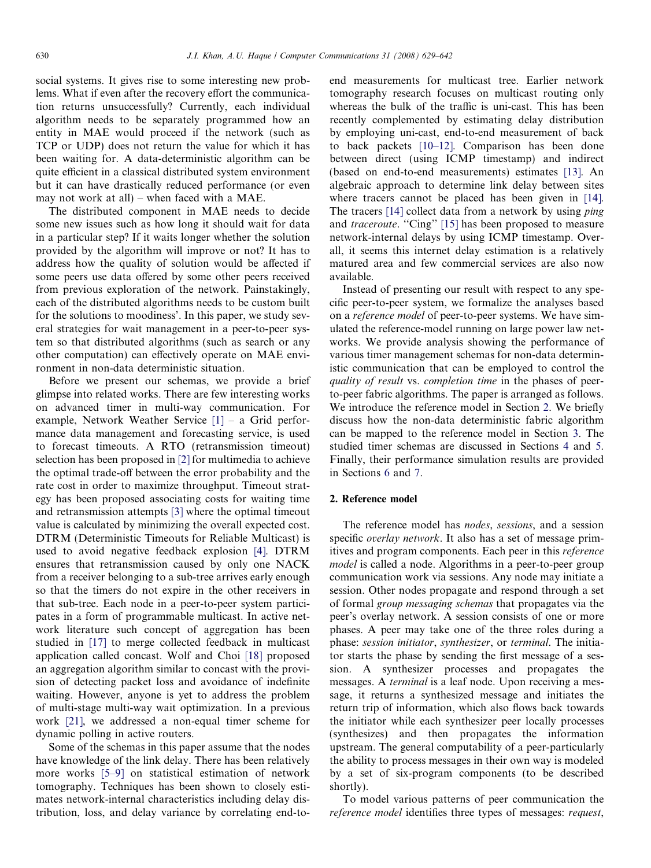social systems. It gives rise to some interesting new problems. What if even after the recovery effort the communication returns unsuccessfully? Currently, each individual algorithm needs to be separately programmed how an entity in MAE would proceed if the network (such as TCP or UDP) does not return the value for which it has been waiting for. A data-deterministic algorithm can be quite efficient in a classical distributed system environment but it can have drastically reduced performance (or even may not work at all) – when faced with a MAE.

The distributed component in MAE needs to decide some new issues such as how long it should wait for data in a particular step? If it waits longer whether the solution provided by the algorithm will improve or not? It has to address how the quality of solution would be affected if some peers use data offered by some other peers received from previous exploration of the network. Painstakingly, each of the distributed algorithms needs to be custom built for the solutions to moodiness'. In this paper, we study several strategies for wait management in a peer-to-peer system so that distributed algorithms (such as search or any other computation) can effectively operate on MAE environment in non-data deterministic situation.

Before we present our schemas, we provide a brief glimpse into related works. There are few interesting works on advanced timer in multi-way communication. For example, Network Weather Service [\[1\]](#page--1-0) – a Grid performance data management and forecasting service, is used to forecast timeouts. A RTO (retransmission timeout) selection has been proposed in [\[2\]](#page--1-0) for multimedia to achieve the optimal trade-off between the error probability and the rate cost in order to maximize throughput. Timeout strategy has been proposed associating costs for waiting time and retransmission attempts [\[3\]](#page--1-0) where the optimal timeout value is calculated by minimizing the overall expected cost. DTRM (Deterministic Timeouts for Reliable Multicast) is used to avoid negative feedback explosion [\[4\].](#page--1-0) DTRM ensures that retransmission caused by only one NACK from a receiver belonging to a sub-tree arrives early enough so that the timers do not expire in the other receivers in that sub-tree. Each node in a peer-to-peer system participates in a form of programmable multicast. In active network literature such concept of aggregation has been studied in [\[17\]](#page--1-0) to merge collected feedback in multicast application called concast. Wolf and Choi [\[18\]](#page--1-0) proposed an aggregation algorithm similar to concast with the provision of detecting packet loss and avoidance of indefinite waiting. However, anyone is yet to address the problem of multi-stage multi-way wait optimization. In a previous work [\[21\],](#page--1-0) we addressed a non-equal timer scheme for dynamic polling in active routers.

Some of the schemas in this paper assume that the nodes have knowledge of the link delay. There has been relatively more works [\[5–9\]](#page--1-0) on statistical estimation of network tomography. Techniques has been shown to closely estimates network-internal characteristics including delay distribution, loss, and delay variance by correlating end-toend measurements for multicast tree. Earlier network tomography research focuses on multicast routing only whereas the bulk of the traffic is uni-cast. This has been recently complemented by estimating delay distribution by employing uni-cast, end-to-end measurement of back to back packets [\[10–12\]](#page--1-0). Comparison has been done between direct (using ICMP timestamp) and indirect (based on end-to-end measurements) estimates [\[13\]](#page--1-0). An algebraic approach to determine link delay between sites where tracers cannot be placed has been given in [\[14\]](#page--1-0). The tracers [\[14\]](#page--1-0) collect data from a network by using *ping* and *traceroute*. "Cing" [\[15\]](#page--1-0) has been proposed to measure network-internal delays by using ICMP timestamp. Overall, it seems this internet delay estimation is a relatively matured area and few commercial services are also now available.

Instead of presenting our result with respect to any specific peer-to-peer system, we formalize the analyses based on a reference model of peer-to-peer systems. We have simulated the reference-model running on large power law networks. We provide analysis showing the performance of various timer management schemas for non-data deterministic communication that can be employed to control the quality of result vs. completion time in the phases of peerto-peer fabric algorithms. The paper is arranged as follows. We introduce the reference model in Section 2. We briefly discuss how the non-data deterministic fabric algorithm can be mapped to the reference model in Section [3](#page--1-0). The studied timer schemas are discussed in Sections [4](#page--1-0) and [5](#page--1-0). Finally, their performance simulation results are provided in Sections [6](#page--1-0) and [7](#page--1-0).

### 2. Reference model

The reference model has nodes, sessions, and a session specific overlay network. It also has a set of message primitives and program components. Each peer in this reference model is called a node. Algorithms in a peer-to-peer group communication work via sessions. Any node may initiate a session. Other nodes propagate and respond through a set of formal group messaging schemas that propagates via the peer's overlay network. A session consists of one or more phases. A peer may take one of the three roles during a phase: session initiator, synthesizer, or terminal. The initiator starts the phase by sending the first message of a session. A synthesizer processes and propagates the messages. A *terminal* is a leaf node. Upon receiving a message, it returns a synthesized message and initiates the return trip of information, which also flows back towards the initiator while each synthesizer peer locally processes (synthesizes) and then propagates the information upstream. The general computability of a peer-particularly the ability to process messages in their own way is modeled by a set of six-program components (to be described shortly).

To model various patterns of peer communication the reference model identifies three types of messages: request,